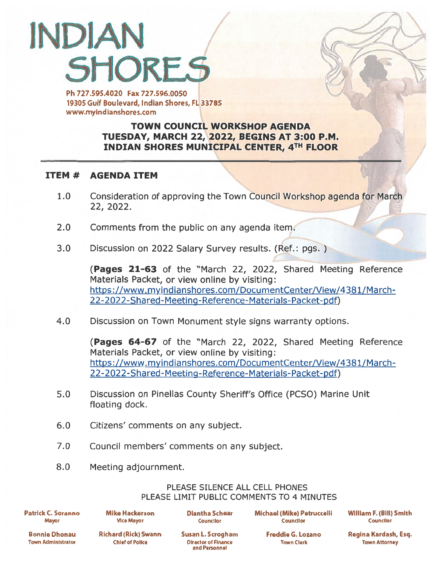## INDIAN **SHORES**

Ph 727.595.4020 Fax 727.596.0050 19305 Gulf Boulevard, Indian Shores, FL 33785 www.myindianshores.com

## TOWN COUNCIL WORKSHOP AGENDA TUESDAY, MARCH 22, 2022, BEGINS AT 3:00 P.M. INDIAN SHORES MUNICIPAL CENTER, 4TH FLOOR

## ITEM # AGENDA ITEM

- 1.0 Consideration of approving the Town Council Workshop agenda for March 22, 2022.
- 2.0 Comments from the public on any agenda item.
- 3.0 Discussion on <sup>2022</sup> Salary Survey results. (Ref.: pgs. )

(Pages 21-63 of the "March 22, 2022, Shared Meeting Reference Materials Packet, or view online by visiting: https ://www. myindianshores.com/DocumentCenter/View/438 1/March-[22-2022-Shared-Meeting-Reference-Materials-Packet-pdf\)](https://www.myindianshores.com/DocumentCenter/View/4381/March-22-2022-Shared-Meeting-Reference-Materials-Packet-pdf)

4.0 Discussion on Town Monument style signs warranty options.

(Pages 64-67 of the "March 22, 2022, Shared Meeting Reference Materials Packet, or view online by visiting: https://www.myindianshores.com/DocumentCenter/View/4381/March-22-2022-Shared-Meeting-Reference-Materials-Packet-pdf)

- 5.0 Discussion on Pinellas County Sheriff's Office (PCSO) Marine Unit floating dock.
- 6.0 Citizens' comments on any subject.
- 7.0 Council members' comments on any subject.
- 8.0 Meeting adjournment.

## PLEASE SILENCE ALL CELL PHONES PLEASE LIMIT PUBLIC COMMENTS TO 4 MINUTES

Patrick C. Soranno Mike Hackerson Diantha Schear Michael (Mike) Potruccelli William F. (Bill) Smith Mayor Vice Mayor Coundlor Counclior Councilor

Town Administrator Chief of Police Director of Finance Town Clerk Town Attorney

and Personnel

Bonnie Dhonau Richard (Rick) Swann Susan L. Scrogham Freddie G. Lozano Regina Kardash, Esq.